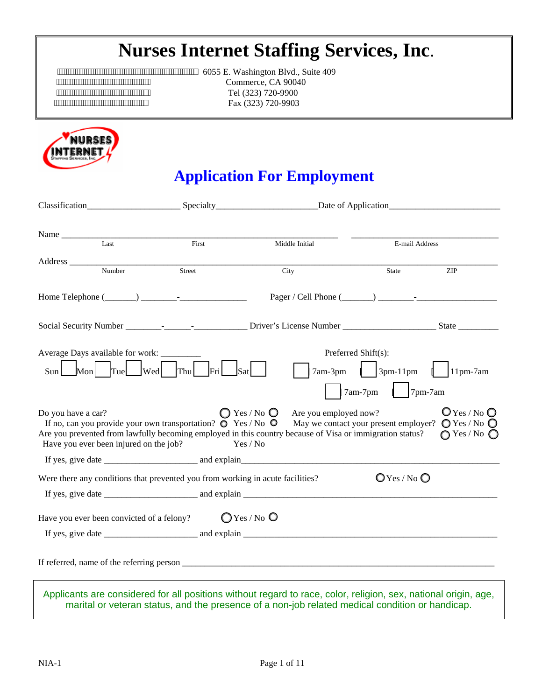# **Nurses Internet Staffing Services, Inc**.

EXAMPLE THE CONSETTING CONSETTING THE CONSETTER THE CONSETTER THE CONSETTER CONSETTER CONSERVANCE CONSERVATION CONTINUES OF A GOOD OF THE CONSERVATION OF CONSERVATION CONTINUES OF A GOOD OF THE CONSERVATION OF THE CONSERVA  $\frac{1}{2}$  $Tel (323) 720-9900$ <br> $Tel (323) 720-9900$ Fax (323) 720-9903



# **Application For Employment**

| Name Last                                                                                                                                                                                                                                                |                                            |                                                                                               |                          |                                                    |
|----------------------------------------------------------------------------------------------------------------------------------------------------------------------------------------------------------------------------------------------------------|--------------------------------------------|-----------------------------------------------------------------------------------------------|--------------------------|----------------------------------------------------|
|                                                                                                                                                                                                                                                          | First                                      | Middle Initial                                                                                | E-mail Address           |                                                    |
| Address <u>Number</u><br>Street                                                                                                                                                                                                                          |                                            | City                                                                                          | State                    | <b>ZIP</b>                                         |
|                                                                                                                                                                                                                                                          |                                            |                                                                                               |                          |                                                    |
|                                                                                                                                                                                                                                                          |                                            |                                                                                               |                          |                                                    |
|                                                                                                                                                                                                                                                          |                                            |                                                                                               |                          |                                                    |
| Average Days available for work: ________                                                                                                                                                                                                                |                                            | Preferred Shift(s):                                                                           |                          |                                                    |
| $\vert$ Wed $\vert$ Thu $\vert$<br>Mon<br>Tue<br>Sun                                                                                                                                                                                                     | Fri<br>Sat                                 | 7am-3pm                                                                                       | $\vert$ $\vert$ 3pm-11pm | $\vert$ 11pm-7am                                   |
|                                                                                                                                                                                                                                                          |                                            |                                                                                               | $7$ pm-7am<br>7am-7pm    |                                                    |
| Do you have a car?<br>If no, can you provide your own transportation? $\bullet$ Yes / No $\bullet$<br>Are you prevented from lawfully becoming employed in this country because of Visa or immigration status?<br>Have you ever been injured on the job? | $\bigcirc$ Yes / No $\bigcirc$<br>Yes / No | Are you employed now?<br>May we contact your present employer? $\bigcirc$ Yes / No $\bigcirc$ |                          | $Q$ Yes / No $Q$<br>$\bigcirc$ Yes / No $\bigcirc$ |
|                                                                                                                                                                                                                                                          |                                            |                                                                                               |                          |                                                    |
| Were there any conditions that prevented you from working in acute facilities?                                                                                                                                                                           |                                            |                                                                                               | $O$ Yes / No $O$         |                                                    |
| If yes, give date $\frac{1}{\sqrt{1-\frac{1}{2}}\sqrt{1-\frac{1}{2}}\cos\theta}$ and explain $\frac{1}{\sqrt{1-\frac{1}{2}}\cos\theta}$                                                                                                                  |                                            |                                                                                               |                          |                                                    |
| Have you ever been convicted of a felony? $\bigcirc$ Yes / No $\bigcirc$                                                                                                                                                                                 |                                            |                                                                                               |                          |                                                    |
| If yes, give date $\frac{1}{\sqrt{1-\frac{1}{2}}}\$ and explain $\frac{1}{\sqrt{1-\frac{1}{2}}}\$                                                                                                                                                        |                                            |                                                                                               |                          |                                                    |
|                                                                                                                                                                                                                                                          |                                            |                                                                                               |                          |                                                    |
| Applicants are considered for all positions without regard to race, color, religion, sex, national origin, age,<br>marital or veteran status, and the presence of a non-job related medical condition or handicap.                                       |                                            |                                                                                               |                          |                                                    |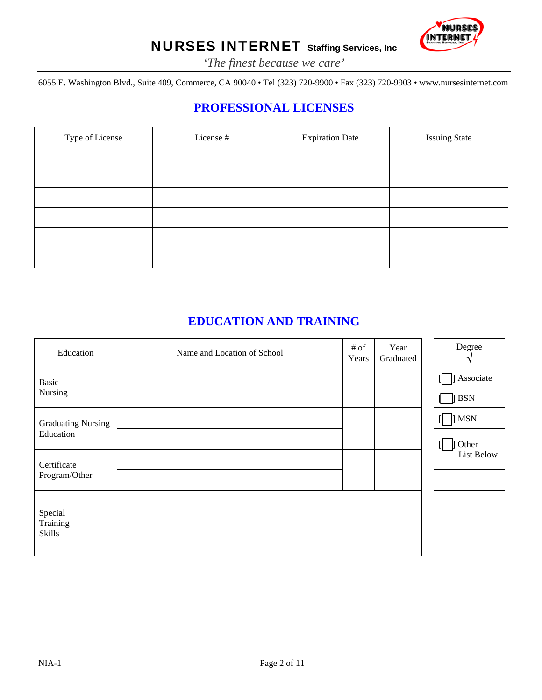

*'The finest because we care'*

6055 E. Washington Blvd., Suite 409, Commerce, CA 90040 • Tel (323) 720-9900 • Fax (323) 720-9903 • www.nursesinternet.com

### **PROFESSIONAL LICENSES**

| Type of License | License # | <b>Expiration Date</b> | <b>Issuing State</b> |
|-----------------|-----------|------------------------|----------------------|
|                 |           |                        |                      |
|                 |           |                        |                      |
|                 |           |                        |                      |
|                 |           |                        |                      |
|                 |           |                        |                      |
|                 |           |                        |                      |

#### **EDUCATION AND TRAINING**

| Education                 | Name and Location of School | # of<br>Years | Year<br>Graduated | Degree           |
|---------------------------|-----------------------------|---------------|-------------------|------------------|
| Basic                     |                             |               |                   | <b>Associate</b> |
| Nursing                   |                             |               |                   | $\parallel$ BSN  |
| <b>Graduating Nursing</b> |                             |               |                   | 1 MSN            |
| Education                 |                             |               |                   | Other            |
| Certificate               |                             |               |                   | List Below       |
| Program/Other             |                             |               |                   |                  |
|                           |                             |               |                   |                  |
| Special<br>Training       |                             |               |                   |                  |
| <b>Skills</b>             |                             |               |                   |                  |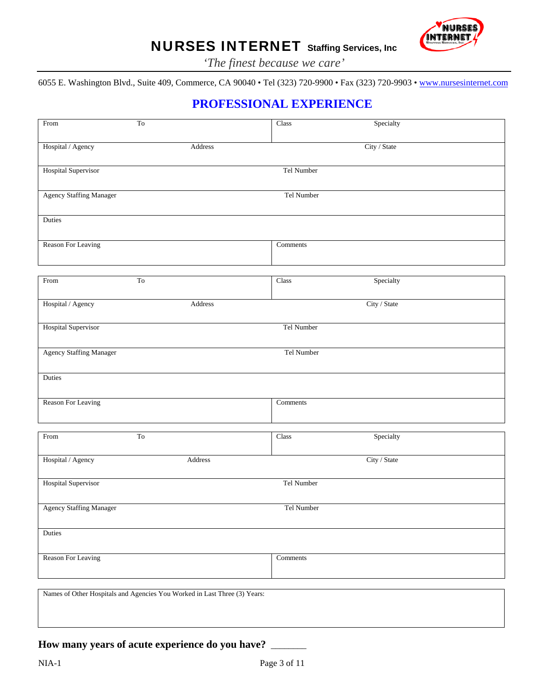

*'The finest because we care'*

6055 E. Washington Blvd., Suite 409, Commerce, CA 90040 • Tel (323) 720-9900 • Fax (323) 720-9903 • [www.nursesinternet.com](http://www.nursesinternet.com/)

### **PROFESSIONAL EXPERIENCE**

| From                           | $\operatorname{To}$                                                       | Class      | Specialty    |  |
|--------------------------------|---------------------------------------------------------------------------|------------|--------------|--|
| Hospital / Agency              | Address                                                                   |            | City / State |  |
| Hospital Supervisor            |                                                                           | Tel Number |              |  |
| <b>Agency Staffing Manager</b> |                                                                           | Tel Number |              |  |
| Duties                         |                                                                           |            |              |  |
| Reason For Leaving             |                                                                           | Comments   |              |  |
| From                           | T <sub>o</sub>                                                            | Class      | Specialty    |  |
| Hospital / Agency              | Address                                                                   |            | City / State |  |
| Hospital Supervisor            |                                                                           | Tel Number |              |  |
| <b>Agency Staffing Manager</b> |                                                                           | Tel Number |              |  |
| Duties                         |                                                                           |            |              |  |
| Reason For Leaving             |                                                                           | Comments   |              |  |
| From                           | T <sub>o</sub>                                                            | Class      | Specialty    |  |
| Hospital / Agency              | Address                                                                   |            | City / State |  |
| Hospital Supervisor            |                                                                           | Tel Number |              |  |
| Agency Staffing Manager        |                                                                           | Tel Number |              |  |
| Duties                         |                                                                           |            |              |  |
| Reason For Leaving             |                                                                           | Comments   |              |  |
|                                | Names of Other Hospitals and Agencies You Worked in Last Three (3) Years: |            |              |  |
|                                |                                                                           |            |              |  |

#### **How many years of acute experience do you have?** \_\_\_\_\_\_\_\_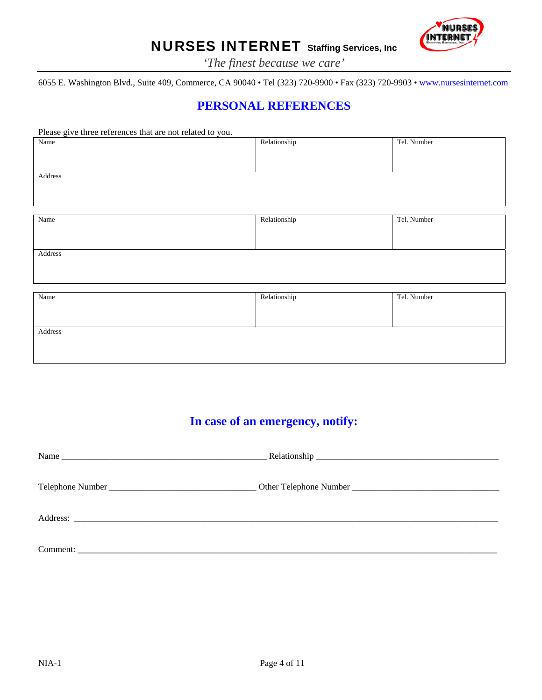

*'The finest because we care'*

6055 E. Washington Blvd., Suite 409, Commerce, CA 90040 • Tel (323) 720-9900 • Fax (323) 720-9903 • [www.nursesinternet.com](http://www.nursesinternet.com/)

### **PERSONAL REFERENCES**

| Please give three references that are not related to you. |              |             |
|-----------------------------------------------------------|--------------|-------------|
| Name                                                      | Relationship | Tel. Number |
|                                                           |              |             |
|                                                           |              |             |
| Address                                                   |              |             |
|                                                           |              |             |
|                                                           |              |             |
|                                                           |              |             |
| Name                                                      | Relationship | Tel. Number |
|                                                           |              |             |
|                                                           |              |             |
| Address                                                   |              |             |
|                                                           |              |             |
|                                                           |              |             |
| Name                                                      | Relationship | Tel. Number |
|                                                           |              |             |
|                                                           |              |             |

| Address |  |
|---------|--|
|         |  |
|         |  |
|         |  |

### **In case of an emergency, notify:**

| Name |  |
|------|--|
|      |  |
|      |  |
|      |  |
|      |  |
|      |  |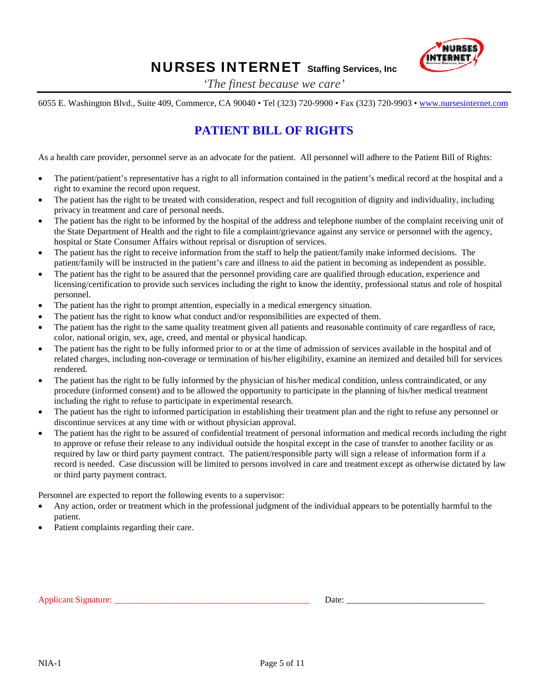

*'The finest because we care'*

6055 E. Washington Blvd., Suite 409, Commerce, CA 90040 • Tel (323) 720-9900 • Fax (323) 720-9903 • [www.nursesinternet.com](http://www.nursesinternet.com/)

### **PATIENT BILL OF RIGHTS**

As a health care provider, personnel serve as an advocate for the patient. All personnel will adhere to the Patient Bill of Rights:

- The patient/patient's representative has a right to all information contained in the patient's medical record at the hospital and a right to examine the record upon request.
- The patient has the right to be treated with consideration, respect and full recognition of dignity and individuality, including privacy in treatment and care of personal needs.
- The patient has the right to be informed by the hospital of the address and telephone number of the complaint receiving unit of the State Department of Health and the right to file a complaint/grievance against any service or personnel with the agency, hospital or State Consumer Affairs without reprisal or disruption of services.
- The patient has the right to receive information from the staff to help the patient/family make informed decisions. The patient/family will be instructed in the patient's care and illness to aid the patient in becoming as independent as possible.
- The patient has the right to be assured that the personnel providing care are qualified through education, experience and licensing/certification to provide such services including the right to know the identity, professional status and role of hospital personnel.
- The patient has the right to prompt attention, especially in a medical emergency situation.
- The patient has the right to know what conduct and/or responsibilities are expected of them.
- The patient has the right to the same quality treatment given all patients and reasonable continuity of care regardless of race, color, national origin, sex, age, creed, and mental or physical handicap.
- The patient has the right to be fully informed prior to or at the time of admission of services available in the hospital and of related charges, including non-coverage or termination of his/her eligibility, examine an itemized and detailed bill for services rendered.
- The patient has the right to be fully informed by the physician of his/her medical condition, unless contraindicated, or any procedure (informed consent) and to be allowed the opportunity to participate in the planning of his/her medical treatment including the right to refuse to participate in experimental research.
- The patient has the right to informed participation in establishing their treatment plan and the right to refuse any personnel or discontinue services at any time with or without physician approval.
- The patient has the right to be assured of confidential treatment of personal information and medical records including the right to approve or refuse their release to any individual outside the hospital except in the case of transfer to another facility or as required by law or third party payment contract. The patient/responsible party will sign a release of information form if a record is needed. Case discussion will be limited to persons involved in care and treatment except as otherwise dictated by law or third party payment contract.

Personnel are expected to report the following events to a supervisor:

- Any action, order or treatment which in the professional judgment of the individual appears to be potentially harmful to the patient.
- Patient complaints regarding their care.

Applicant Signature: \_\_\_\_\_\_\_\_\_\_\_\_\_\_\_\_\_\_\_\_\_\_\_\_\_\_\_\_\_\_\_\_\_\_\_\_\_\_\_\_\_\_\_\_ Date: \_\_\_\_\_\_\_\_\_\_\_\_\_\_\_\_\_\_\_\_\_\_\_\_\_\_\_\_\_\_\_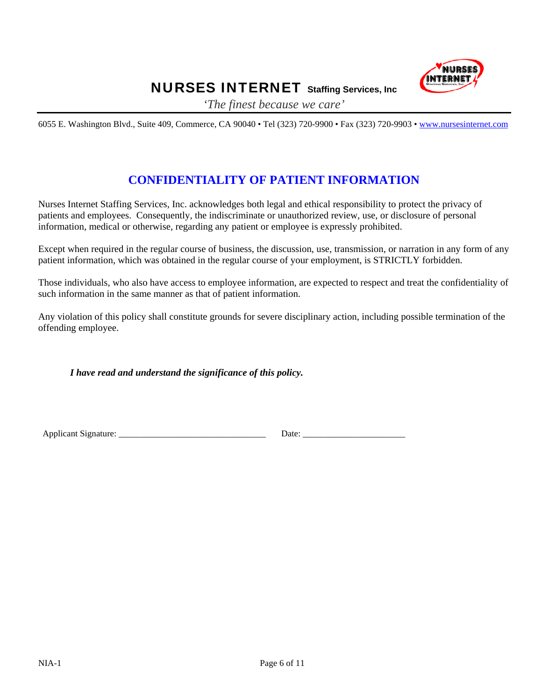

*'The finest because we care'*

6055 E. Washington Blvd., Suite 409, Commerce, CA 90040 • Tel (323) 720-9900 • Fax (323) 720-9903 • [www.nursesinternet.com](http://www.nursesinternet.com/)

### **CONFIDENTIALITY OF PATIENT INFORMATION**

Nurses Internet Staffing Services, Inc. acknowledges both legal and ethical responsibility to protect the privacy of patients and employees. Consequently, the indiscriminate or unauthorized review, use, or disclosure of personal information, medical or otherwise, regarding any patient or employee is expressly prohibited.

Except when required in the regular course of business, the discussion, use, transmission, or narration in any form of any patient information, which was obtained in the regular course of your employment, is STRICTLY forbidden.

Those individuals, who also have access to employee information, are expected to respect and treat the confidentiality of such information in the same manner as that of patient information.

Any violation of this policy shall constitute grounds for severe disciplinary action, including possible termination of the offending employee.

*I have read and understand the significance of this policy.* 

Applicant Signature: \_\_\_\_\_\_\_\_\_\_\_\_\_\_\_\_\_\_\_\_\_\_\_\_\_\_\_\_\_\_\_\_\_ Date: \_\_\_\_\_\_\_\_\_\_\_\_\_\_\_\_\_\_\_\_\_\_\_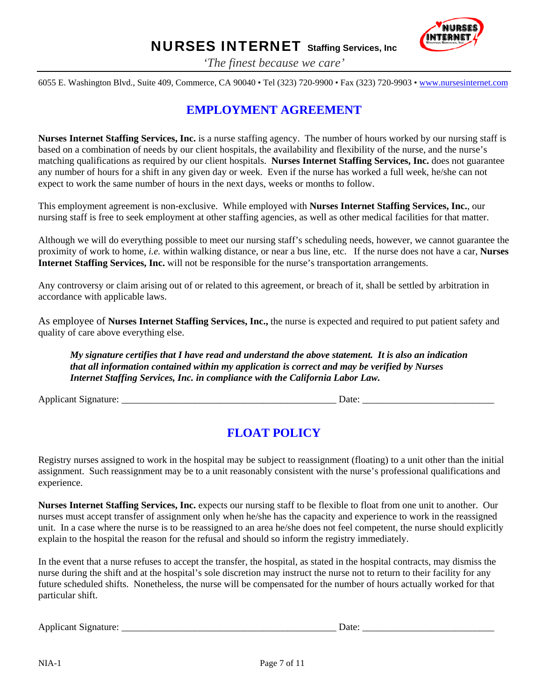

*'The finest because we care'*

6055 E. Washington Blvd., Suite 409, Commerce, CA 90040 • Tel (323) 720-9900 • Fax (323) 720-9903 • [www.nursesinternet.com](http://www.nursesinternet.com/)

#### **EMPLOYMENT AGREEMENT**

**Nurses Internet Staffing Services, Inc.** is a nurse staffing agency. The number of hours worked by our nursing staff is based on a combination of needs by our client hospitals, the availability and flexibility of the nurse, and the nurse's matching qualifications as required by our client hospitals. **Nurses Internet Staffing Services, Inc.** does not guarantee any number of hours for a shift in any given day or week. Even if the nurse has worked a full week, he/she can not expect to work the same number of hours in the next days, weeks or months to follow.

This employment agreement is non-exclusive. While employed with **Nurses Internet Staffing Services, Inc.**, our nursing staff is free to seek employment at other staffing agencies, as well as other medical facilities for that matter.

Although we will do everything possible to meet our nursing staff's scheduling needs, however, we cannot guarantee the proximity of work to home, *i.e.* within walking distance, or near a bus line, etc. If the nurse does not have a car, **Nurses Internet Staffing Services, Inc.** will not be responsible for the nurse's transportation arrangements.

Any controversy or claim arising out of or related to this agreement, or breach of it, shall be settled by arbitration in accordance with applicable laws.

As employee of **Nurses Internet Staffing Services, Inc.,** the nurse is expected and required to put patient safety and quality of care above everything else.

*My signature certifies that I have read and understand the above statement. It is also an indication that all information contained within my application is correct and may be verified by Nurses Internet Staffing Services, Inc. in compliance with the California Labor Law.* 

Applicant Signature: \_\_\_\_\_\_\_\_\_\_\_\_\_\_\_\_\_\_\_\_\_\_\_\_\_\_\_\_\_\_\_\_\_\_\_\_\_\_\_\_\_\_\_\_ Date: \_\_\_\_\_\_\_\_\_\_\_\_\_\_\_\_\_\_\_\_\_\_\_\_\_\_\_

#### **FLOAT POLICY**

Registry nurses assigned to work in the hospital may be subject to reassignment (floating) to a unit other than the initial assignment. Such reassignment may be to a unit reasonably consistent with the nurse's professional qualifications and experience.

**Nurses Internet Staffing Services, Inc.** expects our nursing staff to be flexible to float from one unit to another. Our nurses must accept transfer of assignment only when he/she has the capacity and experience to work in the reassigned unit. In a case where the nurse is to be reassigned to an area he/she does not feel competent, the nurse should explicitly explain to the hospital the reason for the refusal and should so inform the registry immediately.

In the event that a nurse refuses to accept the transfer, the hospital, as stated in the hospital contracts, may dismiss the nurse during the shift and at the hospital's sole discretion may instruct the nurse not to return to their facility for any future scheduled shifts. Nonetheless, the nurse will be compensated for the number of hours actually worked for that particular shift.

Applicant Signature: \_\_\_\_\_\_\_\_\_\_\_\_\_\_\_\_\_\_\_\_\_\_\_\_\_\_\_\_\_\_\_\_\_\_\_\_\_\_\_\_\_\_\_\_ Date: \_\_\_\_\_\_\_\_\_\_\_\_\_\_\_\_\_\_\_\_\_\_\_\_\_\_\_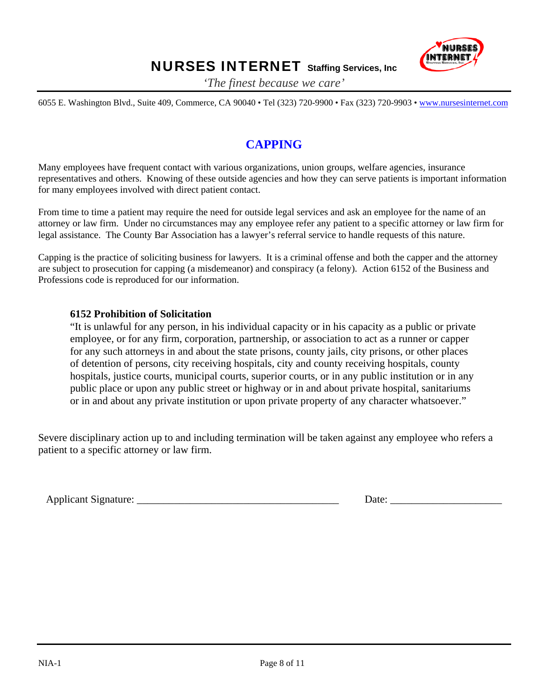

*'The finest because we care'*

6055 E. Washington Blvd., Suite 409, Commerce, CA 90040 • Tel (323) 720-9900 • Fax (323) 720-9903 • [www.nursesinternet.com](http://www.nursesinternet.com/)

### **CAPPING**

Many employees have frequent contact with various organizations, union groups, welfare agencies, insurance representatives and others. Knowing of these outside agencies and how they can serve patients is important information for many employees involved with direct patient contact.

From time to time a patient may require the need for outside legal services and ask an employee for the name of an attorney or law firm. Under no circumstances may any employee refer any patient to a specific attorney or law firm for legal assistance. The County Bar Association has a lawyer's referral service to handle requests of this nature.

Capping is the practice of soliciting business for lawyers. It is a criminal offense and both the capper and the attorney are subject to prosecution for capping (a misdemeanor) and conspiracy (a felony). Action 6152 of the Business and Professions code is reproduced for our information.

#### **6152 Prohibition of Solicitation**

"It is unlawful for any person, in his individual capacity or in his capacity as a public or private employee, or for any firm, corporation, partnership, or association to act as a runner or capper for any such attorneys in and about the state prisons, county jails, city prisons, or other places of detention of persons, city receiving hospitals, city and county receiving hospitals, county hospitals, justice courts, municipal courts, superior courts, or in any public institution or in any public place or upon any public street or highway or in and about private hospital, sanitariums or in and about any private institution or upon private property of any character whatsoever."

Severe disciplinary action up to and including termination will be taken against any employee who refers a patient to a specific attorney or law firm.

Applicant Signature:  $\Box$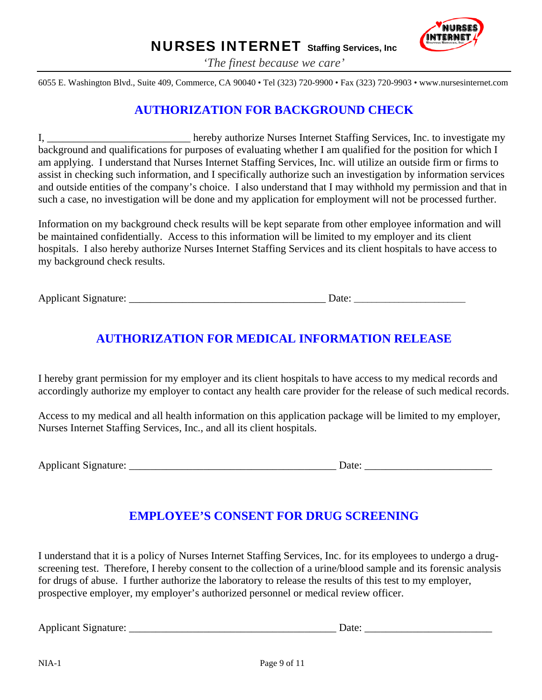

*'The finest because we care'*

6055 E. Washington Blvd., Suite 409, Commerce, CA 90040 • Tel (323) 720-9900 • Fax (323) 720-9903 • www.nursesinternet.com

#### **AUTHORIZATION FOR BACKGROUND CHECK**

I, hereby authorize Nurses Internet Staffing Services, Inc. to investigate my background and qualifications for purposes of evaluating whether I am qualified for the position for which I am applying. I understand that Nurses Internet Staffing Services, Inc. will utilize an outside firm or firms to assist in checking such information, and I specifically authorize such an investigation by information services and outside entities of the company's choice. I also understand that I may withhold my permission and that in such a case, no investigation will be done and my application for employment will not be processed further.

Information on my background check results will be kept separate from other employee information and will be maintained confidentially. Access to this information will be limited to my employer and its client hospitals. I also hereby authorize Nurses Internet Staffing Services and its client hospitals to have access to my background check results.

Applicant Signature: \_\_\_\_\_\_\_\_\_\_\_\_\_\_\_\_\_\_\_\_\_\_\_\_\_\_\_\_\_\_\_\_\_\_\_\_\_ Date: \_\_\_\_\_\_\_\_\_\_\_\_\_\_\_\_\_\_\_\_\_\_\_\_\_

### **AUTHORIZATION FOR MEDICAL INFORMATION RELEASE**

I hereby grant permission for my employer and its client hospitals to have access to my medical records and accordingly authorize my employer to contact any health care provider for the release of such medical records.

Access to my medical and all health information on this application package will be limited to my employer, Nurses Internet Staffing Services, Inc*.*, and all its client hospitals.

Applicant Signature: \_\_\_\_\_\_\_\_\_\_\_\_\_\_\_\_\_\_\_\_\_\_\_\_\_\_\_\_\_\_\_\_\_\_\_\_\_\_\_ Date: \_\_\_\_\_\_\_\_\_\_\_\_\_\_\_\_\_\_\_\_\_\_\_\_

### **EMPLOYEE'S CONSENT FOR DRUG SCREENING**

I understand that it is a policy of Nurses Internet Staffing Services, Inc. for its employees to undergo a drugscreening test. Therefore, I hereby consent to the collection of a urine/blood sample and its forensic analysis for drugs of abuse. I further authorize the laboratory to release the results of this test to my employer, prospective employer, my employer's authorized personnel or medical review officer.

Applicant Signature: \_\_\_\_\_\_\_\_\_\_\_\_\_\_\_\_\_\_\_\_\_\_\_\_\_\_\_\_\_\_\_\_\_\_\_\_\_\_\_ Date: \_\_\_\_\_\_\_\_\_\_\_\_\_\_\_\_\_\_\_\_\_\_\_\_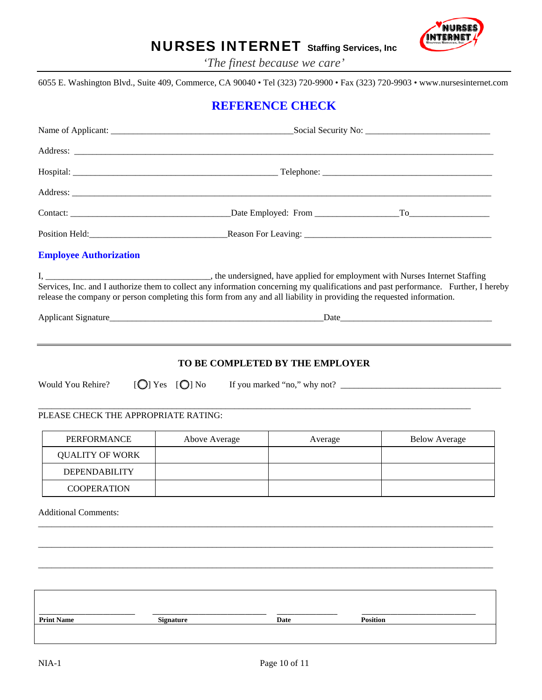

*'The finest because we care'*

6055 E. Washington Blvd., Suite 409, Commerce, CA 90040 • Tel (323) 720-9900 • Fax (323) 720-9903 • www.nursesinternet.com

#### **REFERENCE CHECK**

| <b>Employee Authorization</b>                                                                                         |                    |         |                 |                      |
|-----------------------------------------------------------------------------------------------------------------------|--------------------|---------|-----------------|----------------------|
| release the company or person completing this form from any and all liability in providing the requested information. |                    |         |                 |                      |
| Would You Rehire?<br>PLEASE CHECK THE APPROPRIATE RATING:                                                             | $[O]$ Yes $[O]$ No |         |                 |                      |
| PERFORMANCE                                                                                                           | Above Average      | Average |                 | <b>Below Average</b> |
| <b>QUALITY OF WORK</b>                                                                                                |                    |         |                 |                      |
| <b>DEPENDABILITY</b>                                                                                                  |                    |         |                 |                      |
| <b>COOPERATION</b>                                                                                                    |                    |         |                 |                      |
| <b>Additional Comments:</b>                                                                                           |                    |         |                 |                      |
|                                                                                                                       |                    |         |                 |                      |
|                                                                                                                       |                    |         |                 |                      |
| <b>Print Name</b>                                                                                                     | <b>Signature</b>   | Date    | <b>Position</b> |                      |
|                                                                                                                       |                    |         |                 |                      |